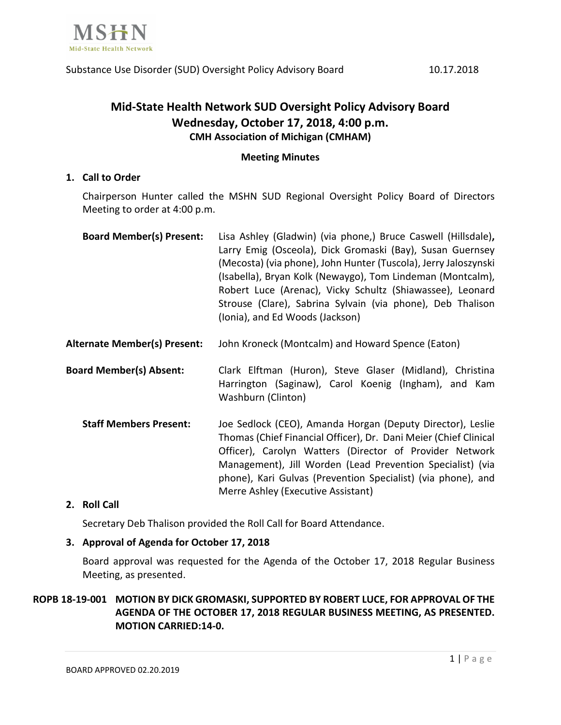

# **Mid-State Health Network SUD Oversight Policy Advisory Board Wednesday, October 17, 2018, 4:00 p.m. CMH Association of Michigan (CMHAM)**

## **Meeting Minutes**

# **1. Call to Order**

Chairperson Hunter called the MSHN SUD Regional Oversight Policy Board of Directors Meeting to order at 4:00 p.m.

| <b>Board Member(s) Present:</b> | Lisa Ashley (Gladwin) (via phone,) Bruce Caswell (Hillsdale),   |
|---------------------------------|-----------------------------------------------------------------|
|                                 | Larry Emig (Osceola), Dick Gromaski (Bay), Susan Guernsey       |
|                                 | (Mecosta) (via phone), John Hunter (Tuscola), Jerry Jaloszynski |
|                                 | (Isabella), Bryan Kolk (Newaygo), Tom Lindeman (Montcalm),      |
|                                 | Robert Luce (Arenac), Vicky Schultz (Shiawassee), Leonard       |
|                                 | Strouse (Clare), Sabrina Sylvain (via phone), Deb Thalison      |
|                                 | (Ionia), and Ed Woods (Jackson)                                 |

- **Alternate Member(s) Present:** John Kroneck (Montcalm) and Howard Spence (Eaton)
- **Board Member(s) Absent:** Clark Elftman (Huron), Steve Glaser (Midland), Christina Harrington (Saginaw), Carol Koenig (Ingham), and Kam Washburn (Clinton)
	- **Staff Members Present:** Joe Sedlock (CEO), Amanda Horgan (Deputy Director), Leslie Thomas (Chief Financial Officer), Dr. Dani Meier (Chief Clinical Officer), Carolyn Watters (Director of Provider Network Management), Jill Worden (Lead Prevention Specialist) (via phone), Kari Gulvas (Prevention Specialist) (via phone), and Merre Ashley (Executive Assistant)

# **2. Roll Call**

Secretary Deb Thalison provided the Roll Call for Board Attendance.

# **3. Approval of Agenda for October 17, 2018**

Board approval was requested for the Agenda of the October 17, 2018 Regular Business Meeting, as presented.

# **ROPB 18-19-001 MOTION BY DICK GROMASKI, SUPPORTED BY ROBERT LUCE, FOR APPROVAL OF THE AGENDA OF THE OCTOBER 17, 2018 REGULAR BUSINESS MEETING, AS PRESENTED. MOTION CARRIED:14-0.**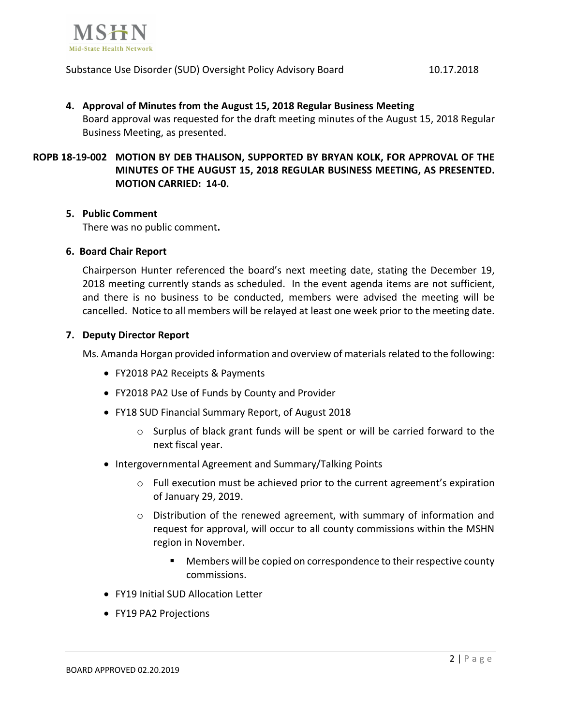

#### Substance Use Disorder (SUD) Oversight Policy Advisory Board 10.17.2018

# **4. Approval of Minutes from the August 15, 2018 Regular Business Meeting** Board approval was requested for the draft meeting minutes of the August 15, 2018 Regular Business Meeting, as presented.

# **ROPB 18-19-002 MOTION BY DEB THALISON, SUPPORTED BY BRYAN KOLK, FOR APPROVAL OF THE MINUTES OF THE AUGUST 15, 2018 REGULAR BUSINESS MEETING, AS PRESENTED. MOTION CARRIED: 14-0.**

#### **5. Public Comment**

There was no public comment**.**

## **6. Board Chair Report**

Chairperson Hunter referenced the board's next meeting date, stating the December 19, 2018 meeting currently stands as scheduled. In the event agenda items are not sufficient, and there is no business to be conducted, members were advised the meeting will be cancelled. Notice to all members will be relayed at least one week prior to the meeting date.

## **7. Deputy Director Report**

Ms. Amanda Horgan provided information and overview of materials related to the following:

- FY2018 PA2 Receipts & Payments
- FY2018 PA2 Use of Funds by County and Provider
- FY18 SUD Financial Summary Report, of August 2018
	- o Surplus of black grant funds will be spent or will be carried forward to the next fiscal year.
- Intergovernmental Agreement and Summary/Talking Points
	- o Full execution must be achieved prior to the current agreement's expiration of January 29, 2019.
	- o Distribution of the renewed agreement, with summary of information and request for approval, will occur to all county commissions within the MSHN region in November.
		- Members will be copied on correspondence to their respective county commissions.
- FY19 Initial SUD Allocation Letter
- FY19 PA2 Projections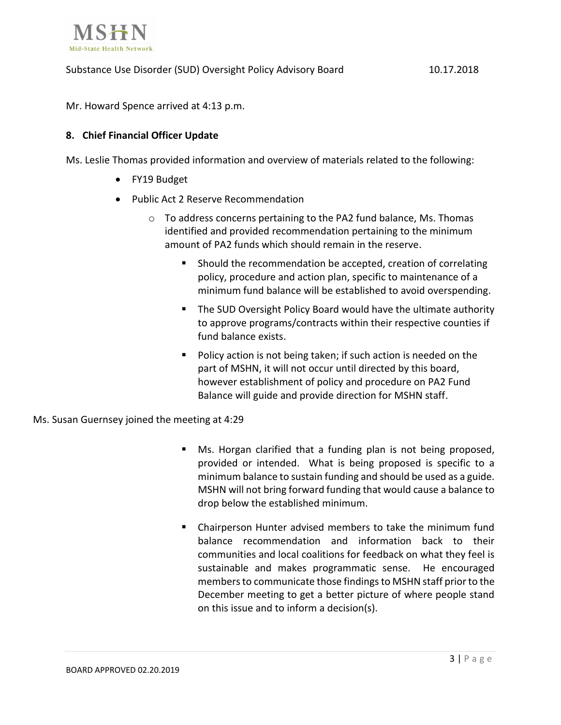

Mr. Howard Spence arrived at 4:13 p.m.

# **8. Chief Financial Officer Update**

Ms. Leslie Thomas provided information and overview of materials related to the following:

- FY19 Budget
- Public Act 2 Reserve Recommendation
	- $\circ$  To address concerns pertaining to the PA2 fund balance, Ms. Thomas identified and provided recommendation pertaining to the minimum amount of PA2 funds which should remain in the reserve.
		- Should the recommendation be accepted, creation of correlating policy, procedure and action plan, specific to maintenance of a minimum fund balance will be established to avoid overspending.
		- The SUD Oversight Policy Board would have the ultimate authority to approve programs/contracts within their respective counties if fund balance exists.
		- Policy action is not being taken; if such action is needed on the part of MSHN, it will not occur until directed by this board, however establishment of policy and procedure on PA2 Fund Balance will guide and provide direction for MSHN staff.

Ms. Susan Guernsey joined the meeting at 4:29

- Ms. Horgan clarified that a funding plan is not being proposed, provided or intended. What is being proposed is specific to a minimum balance to sustain funding and should be used as a guide. MSHN will not bring forward funding that would cause a balance to drop below the established minimum.
- Chairperson Hunter advised members to take the minimum fund balance recommendation and information back to their communities and local coalitions for feedback on what they feel is sustainable and makes programmatic sense. He encouraged members to communicate those findings to MSHN staff prior to the December meeting to get a better picture of where people stand on this issue and to inform a decision(s).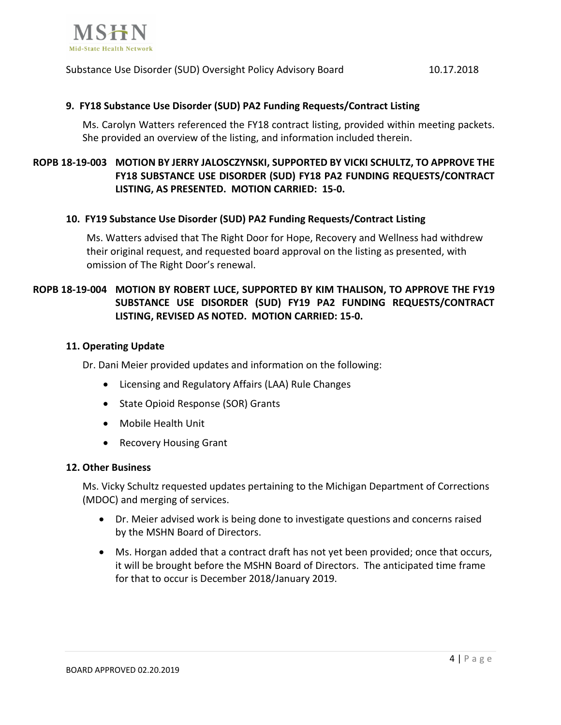

Substance Use Disorder (SUD) Oversight Policy Advisory Board 10.17.2018

### **9. FY18 Substance Use Disorder (SUD) PA2 Funding Requests/Contract Listing**

Ms. Carolyn Watters referenced the FY18 contract listing, provided within meeting packets. She provided an overview of the listing, and information included therein.

# **ROPB 18-19-003 MOTION BY JERRY JALOSCZYNSKI, SUPPORTED BY VICKI SCHULTZ, TO APPROVE THE FY18 SUBSTANCE USE DISORDER (SUD) FY18 PA2 FUNDING REQUESTS/CONTRACT LISTING, AS PRESENTED. MOTION CARRIED: 15-0.**

#### **10. FY19 Substance Use Disorder (SUD) PA2 Funding Requests/Contract Listing**

Ms. Watters advised that The Right Door for Hope, Recovery and Wellness had withdrew their original request, and requested board approval on the listing as presented, with omission of The Right Door's renewal.

# **ROPB 18-19-004 MOTION BY ROBERT LUCE, SUPPORTED BY KIM THALISON, TO APPROVE THE FY19 SUBSTANCE USE DISORDER (SUD) FY19 PA2 FUNDING REQUESTS/CONTRACT LISTING, REVISED AS NOTED. MOTION CARRIED: 15-0.**

#### **11. Operating Update**

Dr. Dani Meier provided updates and information on the following:

- Licensing and Regulatory Affairs (LAA) Rule Changes
- State Opioid Response (SOR) Grants
- Mobile Health Unit
- Recovery Housing Grant

#### **12. Other Business**

Ms. Vicky Schultz requested updates pertaining to the Michigan Department of Corrections (MDOC) and merging of services.

- Dr. Meier advised work is being done to investigate questions and concerns raised by the MSHN Board of Directors.
- Ms. Horgan added that a contract draft has not yet been provided; once that occurs, it will be brought before the MSHN Board of Directors. The anticipated time frame for that to occur is December 2018/January 2019.